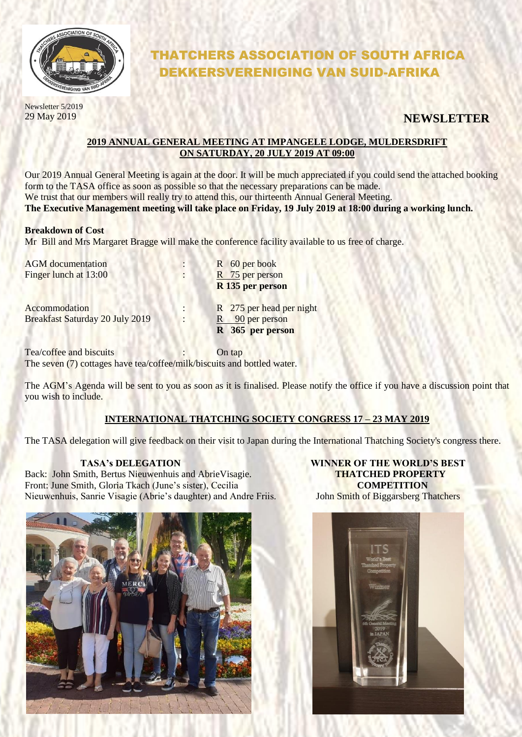

# THATCHERS ASSOCIATION OF SOUTH AFRICA DEKKERSVERENIGING VAN SUID-AFRIKA

Newsletter 5/2019

## 29 May 2019 **NEWSLETTER**

#### **2019 ANNUAL GENERAL MEETING AT IMPANGELE LODGE, MULDERSDRIFT ON SATURDAY, 20 JULY 2019 AT 09:00**

Our 2019 Annual General Meeting is again at the door. It will be much appreciated if you could send the attached booking form to the TASA office as soon as possible so that the necessary preparations can be made. We trust that our members will really try to attend this, our thirteenth Annual General Meeting. **The Executive Management meeting will take place on Friday, 19 July 2019 at 18:00 during a working lunch.**

#### **Breakdown of Cost**

Mr Bill and Mrs Margaret Bragge will make the conference facility available to us free of charge.

| <b>AGM</b> documentation<br>Finger lunch at 13:00       |   | R 60 per book<br>R 75 per person<br>R 135 per person            |
|---------------------------------------------------------|---|-----------------------------------------------------------------|
| Accommodation<br><b>Breakfast Saturday 20 July 2019</b> | ٠ | R 275 per head per night<br>R 90 per person<br>R 365 per person |

Tea/coffee and biscuits : Contap The seven (7) cottages have tea/coffee/milk/biscuits and bottled water.

The AGM's Agenda will be sent to you as soon as it is finalised. Please notify the office if you have a discussion point that you wish to include.

#### **INTERNATIONAL THATCHING SOCIETY CONGRESS 17 – 23 MAY 2019**

The TASA delegation will give feedback on their visit to Japan during the International Thatching Society's congress there.

Back: John Smith, Bertus Nieuwenhuis and AbrieVisagie. **THATCHED PROPERTY**  Front: June Smith, Gloria Tkach (June's sister), Cecilia **COMPETITION** Nieuwenhuis, Sanrie Visagie (Abrie's daughter) and Andre Friis. John Smith of Biggarsberg Thatchers



 **TASA's DELEGATION WINNER OF THE WORLD'S BEST**

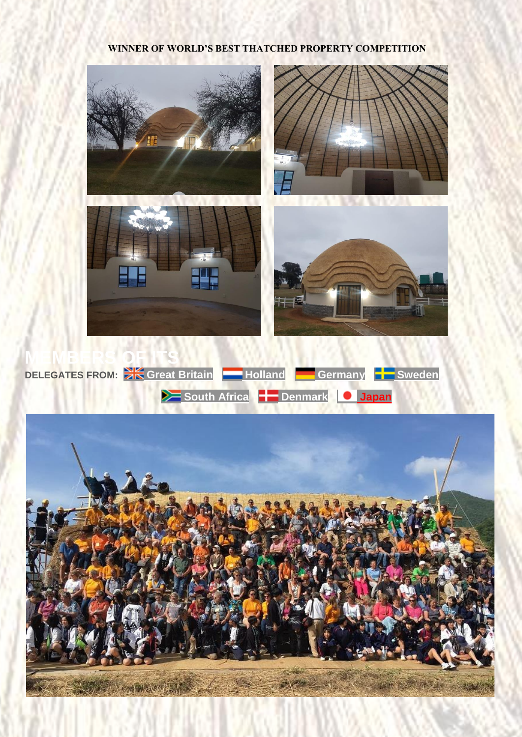### **WINNER OF WORLD'S BEST THATCHED PROPERTY COMPETITION**



STANDARD COMPANY

NATIONAL TANK OF STAND